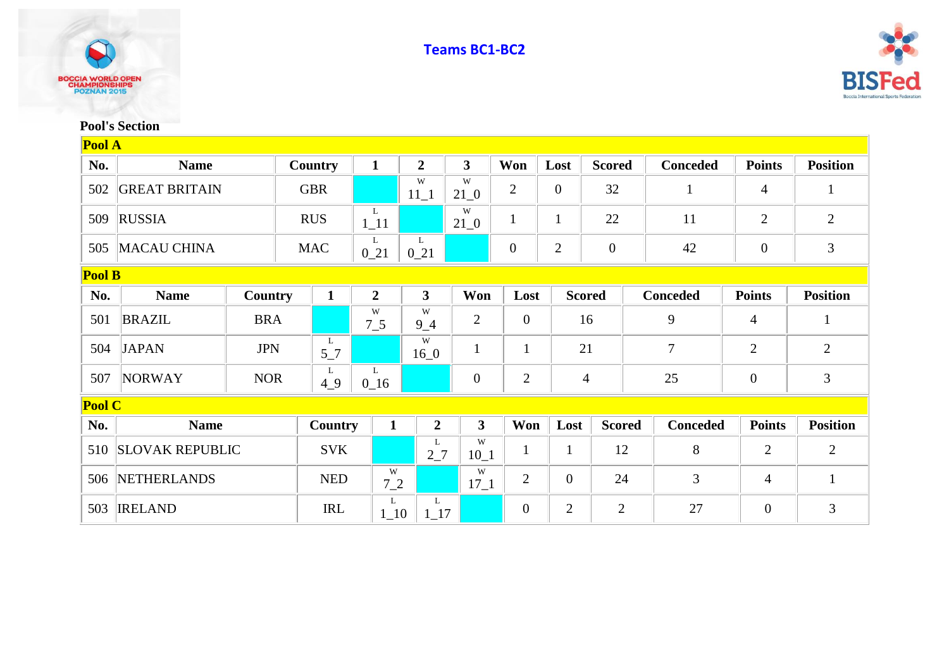



## **Pool's Section**

| Pool A        |                        |            |  |                           |                |                |                         |                  |                  |                  |    |                 |                |                 |
|---------------|------------------------|------------|--|---------------------------|----------------|----------------|-------------------------|------------------|------------------|------------------|----|-----------------|----------------|-----------------|
| No.           | <b>Name</b>            |            |  | Country                   |                | $\overline{2}$ | $\mathbf{3}$            | Won              | Lost             | <b>Scored</b>    |    | <b>Conceded</b> | <b>Points</b>  | <b>Position</b> |
| 502           | <b>GREAT BRITAIN</b>   |            |  | <b>GBR</b>                |                | W<br>$11\_1$   | W<br>$21\_0$            | $\overline{2}$   | $\boldsymbol{0}$ | 32               |    |                 | $\overline{4}$ | 1               |
| 509           | <b>RUSSIA</b>          |            |  | <b>RUS</b><br>$1\_11$     |                |                | W<br>$21\_0$            | $\mathbf{1}$     | $\mathbf{1}$     | 22               |    | 11              | $\overline{2}$ | $\overline{2}$  |
| 505           | <b>MACAU CHINA</b>     |            |  | L<br><b>MAC</b><br>$0_21$ |                | L<br>$0_21$    |                         | $\overline{0}$   | $\overline{2}$   | $\boldsymbol{0}$ |    | 42              | $\overline{0}$ | 3               |
| <b>Pool B</b> |                        |            |  |                           |                |                |                         |                  |                  |                  |    |                 |                |                 |
| No.           | <b>Name</b>            | Country    |  | $\mathbf{1}$              | $\overline{2}$ | $\mathbf{3}$   | Won                     | Lost             |                  | <b>Scored</b>    |    | <b>Conceded</b> | <b>Points</b>  | <b>Position</b> |
| 501           | <b>BRAZIL</b>          | <b>BRA</b> |  |                           | W<br>$7\_5$    | W<br>$9_4$     | $\overline{2}$          | $\overline{0}$   |                  | 16               |    | 9               | $\overline{4}$ | $\mathbf{1}$    |
| 504           | <b>JAPAN</b>           | <b>JPN</b> |  | L<br>$5-7$                |                | W<br>$16_0$    | $\mathbf{1}$            | $\mathbf{1}$     |                  | 21               | 7  |                 | $\overline{2}$ | $\overline{2}$  |
| 507           | <b>NORWAY</b>          | <b>NOR</b> |  | L<br>49                   | L<br>$0_{16}$  |                | $\boldsymbol{0}$        | $\overline{2}$   |                  | $\overline{4}$   | 25 |                 | $\overline{0}$ | 3               |
| <b>Pool C</b> |                        |            |  |                           |                |                |                         |                  |                  |                  |    |                 |                |                 |
| No.           | <b>Name</b>            |            |  | Country                   | $\mathbf{1}$   | $\overline{2}$ | $\overline{\mathbf{3}}$ | Won              | Lost             | <b>Scored</b>    |    | <b>Conceded</b> | <b>Points</b>  | <b>Position</b> |
| 510           | <b>SLOVAK REPUBLIC</b> |            |  | <b>SVK</b>                |                | L<br>27        | W<br>$10_1$             | $\mathbf{1}$     | $\mathbf{1}$     | 12               |    | 8               | $\overline{2}$ | $\overline{2}$  |
| 506           | <b>NETHERLANDS</b>     |            |  | <b>NED</b>                | W<br>$7_{-2}$  |                | W<br>$17\_1$            | $\overline{2}$   | $\overline{0}$   | 24               |    | 3               | 4              | $\mathbf{1}$    |
| 503           | <b>IRELAND</b>         |            |  | <b>IRL</b>                | L<br>$1_{-}10$ | L<br>$1_{17}$  |                         | $\boldsymbol{0}$ | $\overline{2}$   | $\overline{2}$   |    | 27              | $\overline{0}$ | 3               |

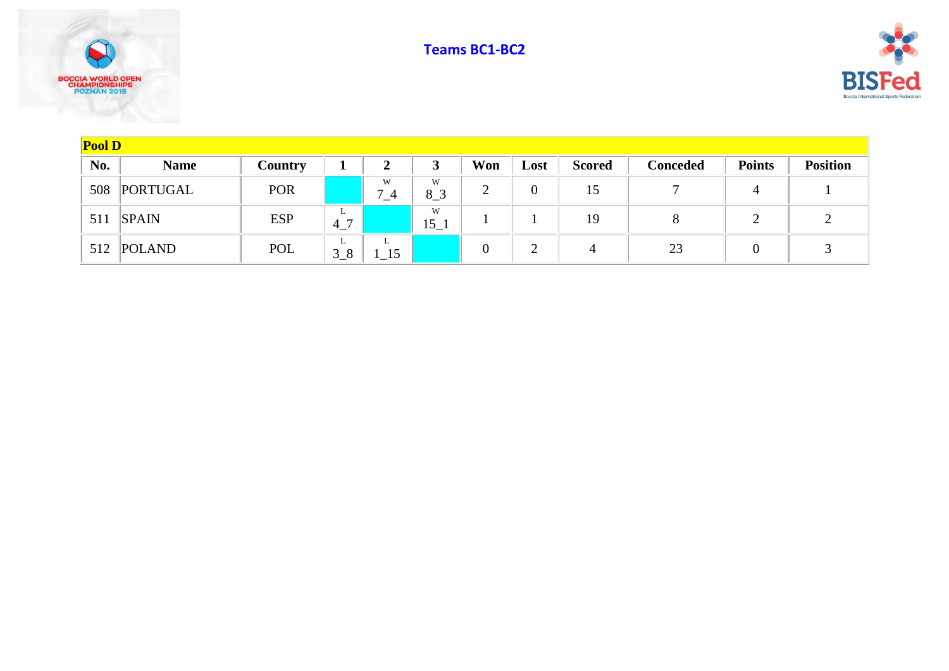





| Pool D |              |            |                        |              |              |          |                    |                |                 |               |                 |  |
|--------|--------------|------------|------------------------|--------------|--------------|----------|--------------------|----------------|-----------------|---------------|-----------------|--|
| No.    | <b>Name</b>  | Country    |                        | $\mathbf{2}$ | 3            | Won      | Lost               | <b>Scored</b>  | <b>Conceded</b> | <b>Points</b> | <b>Position</b> |  |
| 508    | PORTUGAL     | <b>POR</b> |                        | W<br>$7_4$   | W<br>$8-3$   | റ        | $\overline{0}$     | 15             |                 | 4             |                 |  |
| 511    | <b>SPAIN</b> | <b>ESP</b> | ∸<br>$^{\circ}$ 4<br>, |              | W<br>$15\_1$ |          |                    | 19             |                 |               |                 |  |
|        | 512 POLAND   | POL        | ∸<br>$3_8$             | ъ.<br>15     |              | $\theta$ | $\mathcal{D}$<br>∠ | $\overline{A}$ | 23              |               |                 |  |